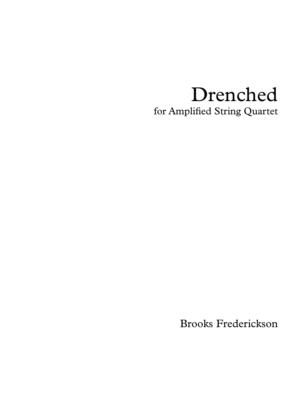## Drenched for Amplified String Quartet

Brooks Frederickson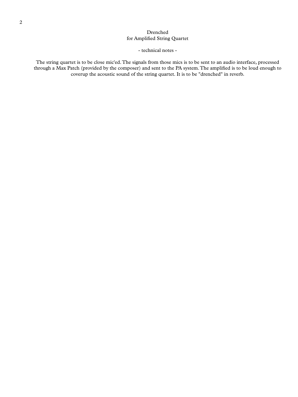## Drenched for Amplified String Quartet

- technical notes -

The string quartet is to be close mic'ed.The signals from those mics is to be sent to an audio interface, processed through a Max Patch (provided by the composer) and sent to the PA system.The amplified is to be loud enough to coverup the acoustic sound of the string quartet. It is to be "drenched" in reverb.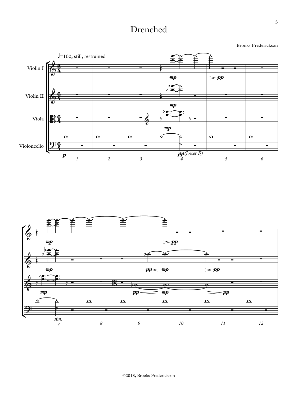## Drenched

Brooks Frederickson



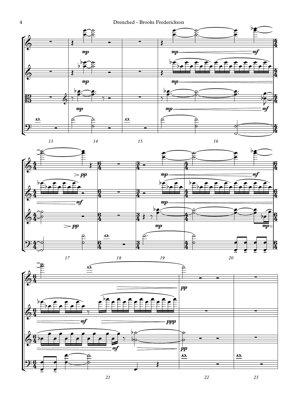





*21 22 23*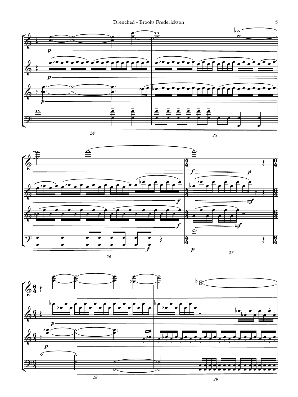



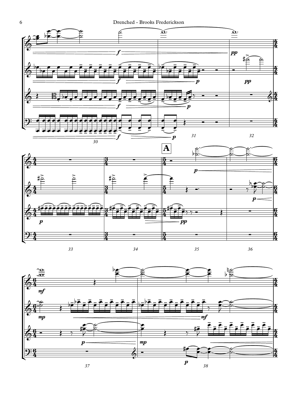



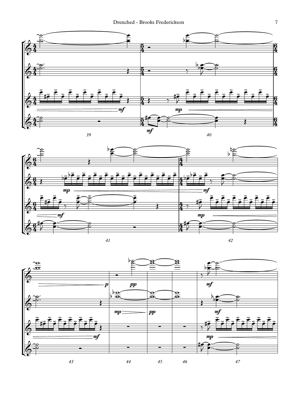



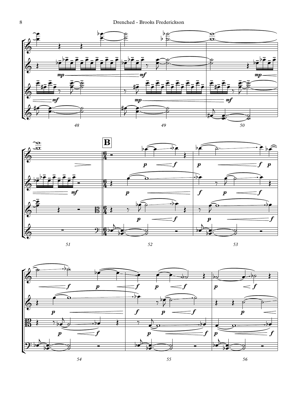



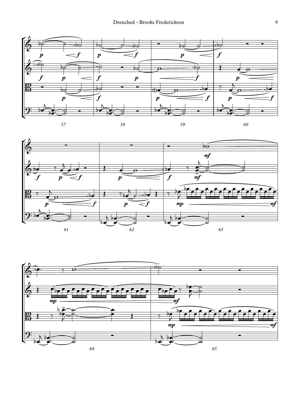



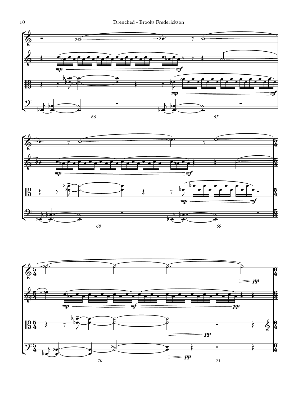



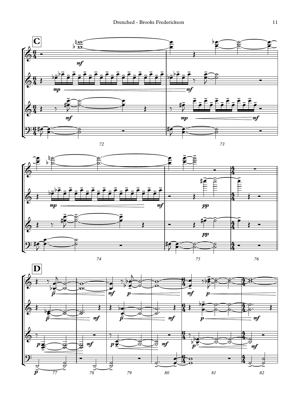